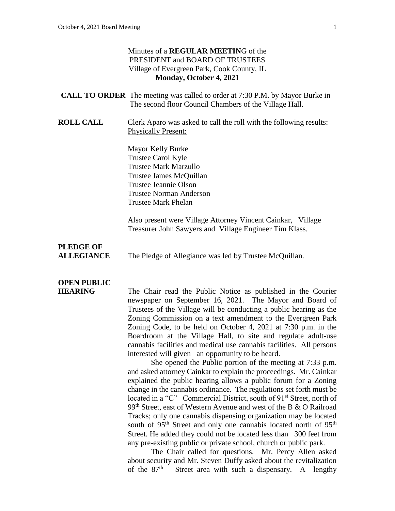## Minutes of a **REGULAR MEETIN**G of the PRESIDENT and BOARD OF TRUSTEES Village of Evergreen Park, Cook County, IL **Monday, October 4, 2021**

|                                       | <b>CALL TO ORDER</b> The meeting was called to order at 7:30 P.M. by Mayor Burke in<br>The second floor Council Chambers of the Village Hall.                                               |
|---------------------------------------|---------------------------------------------------------------------------------------------------------------------------------------------------------------------------------------------|
| <b>ROLL CALL</b>                      | Clerk Aparo was asked to call the roll with the following results:<br><b>Physically Present:</b>                                                                                            |
|                                       | Mayor Kelly Burke<br>Trustee Carol Kyle<br><b>Trustee Mark Marzullo</b><br>Trustee James McQuillan<br>Trustee Jeannie Olson<br><b>Trustee Norman Anderson</b><br><b>Trustee Mark Phelan</b> |
|                                       | Also present were Village Attorney Vincent Cainkar, Village<br>Treasurer John Sawyers and Village Engineer Tim Klass.                                                                       |
| <b>PLEDGE OF</b><br><b>ALLEGIANCE</b> | The Pledge of Allegiance was led by Trustee McQuillan.                                                                                                                                      |
| <b>OPEN PUBLIC</b><br><b>HEARING</b>  | The Chair read the Public Notice as published in the Courier                                                                                                                                |

newspaper on September 16, 2021. The Mayor and Board of Trustees of the Village will be conducting a public hearing as the Zoning Commission on a text amendment to the Evergreen Park Zoning Code, to be held on October 4, 2021 at 7:30 p.m. in the Boardroom at the Village Hall, to site and regulate adult-use cannabis facilities and medical use cannabis facilities. All persons interested will given an opportunity to be heard.

She opened the Public portion of the meeting at 7:33 p.m. and asked attorney Cainkar to explain the proceedings. Mr. Cainkar explained the public hearing allows a public forum for a Zoning change in the cannabis ordinance. The regulations set forth must be located in a "C" Commercial District, south of 91<sup>st</sup> Street, north of 99<sup>th</sup> Street, east of Western Avenue and west of the B  $&$  O Railroad Tracks; only one cannabis dispensing organization may be located south of 95<sup>th</sup> Street and only one cannabis located north of 95<sup>th</sup> Street. He added they could not be located less than 300 feet from any pre-existing public or private school, church or public park.

The Chair called for questions. Mr. Percy Allen asked about security and Mr. Steven Duffy asked about the revitalization of the  $87<sup>th</sup>$ Street area with such a dispensary. A lengthy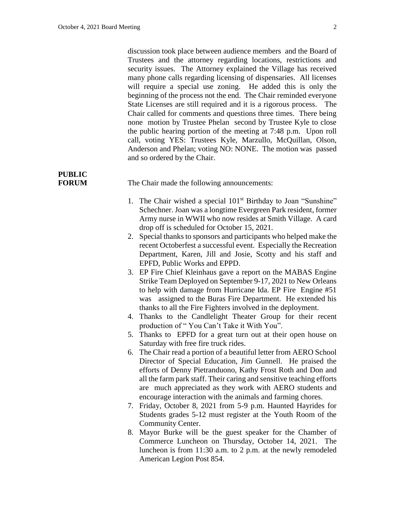discussion took place between audience members and the Board of Trustees and the attorney regarding locations, restrictions and security issues. The Attorney explained the Village has received many phone calls regarding licensing of dispensaries. All licenses will require a special use zoning. He added this is only the beginning of the process not the end. The Chair reminded everyone State Licenses are still required and it is a rigorous process. The Chair called for comments and questions three times. There being none motion by Trustee Phelan second by Trustee Kyle to close the public hearing portion of the meeting at 7:48 p.m. Upon roll call, voting YES: Trustees Kyle, Marzullo, McQuillan, Olson, Anderson and Phelan; voting NO: NONE. The motion was passed and so ordered by the Chair.

# **PUBLIC**

**FORUM** The Chair made the following announcements:

- 1. The Chair wished a special 101<sup>st</sup> Birthday to Joan "Sunshine" Schechner. Joan was a longtime Evergreen Park resident, former Army nurse in WWII who now resides at Smith Village. A card drop off is scheduled for October 15, 2021.
- 2. Special thanks to sponsors and participants who helped make the recent Octoberfest a successful event. Especially the Recreation Department, Karen, Jill and Josie, Scotty and his staff and EPFD, Public Works and EPPD.
- 3. EP Fire Chief Kleinhaus gave a report on the MABAS Engine Strike Team Deployed on September 9-17, 2021 to New Orleans to help with damage from Hurricane Ida. EP Fire Engine #51 was assigned to the Buras Fire Department. He extended his thanks to all the Fire Fighters involved in the deployment.
- 4. Thanks to the Candlelight Theater Group for their recent production of " You Can't Take it With You".
- 5. Thanks to EPFD for a great turn out at their open house on Saturday with free fire truck rides.
- 6. The Chair read a portion of a beautiful letter from AERO School Director of Special Education, Jim Gunnell. He praised the efforts of Denny Pietranduono, Kathy Frost Roth and Don and all the farm park staff. Their caring and sensitive teaching efforts are much appreciated as they work with AERO students and encourage interaction with the animals and farming chores.
- 7. Friday, October 8, 2021 from 5-9 p.m. Haunted Hayrides for Students grades 5-12 must register at the Youth Room of the Community Center.
- 8. Mayor Burke will be the guest speaker for the Chamber of Commerce Luncheon on Thursday, October 14, 2021. The luncheon is from 11:30 a.m. to 2 p.m. at the newly remodeled American Legion Post 854.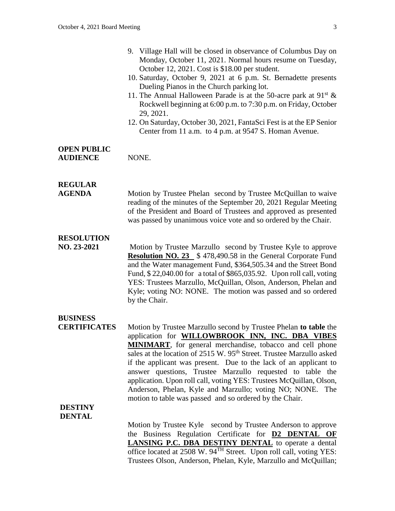|                                        | 9. Village Hall will be closed in observance of Columbus Day on<br>Monday, October 11, 2021. Normal hours resume on Tuesday,<br>October 12, 2021. Cost is \$18.00 per student.<br>10. Saturday, October 9, 2021 at 6 p.m. St. Bernadette presents<br>Dueling Pianos in the Church parking lot.<br>11. The Annual Halloween Parade is at the 50-acre park at $91^{st}$ &<br>Rockwell beginning at 6:00 p.m. to 7:30 p.m. on Friday, October<br>29, 2021.<br>12. On Saturday, October 30, 2021, FantaSci Fest is at the EP Senior<br>Center from 11 a.m. to 4 p.m. at 9547 S. Homan Avenue. |
|----------------------------------------|-------------------------------------------------------------------------------------------------------------------------------------------------------------------------------------------------------------------------------------------------------------------------------------------------------------------------------------------------------------------------------------------------------------------------------------------------------------------------------------------------------------------------------------------------------------------------------------------|
| <b>OPEN PUBLIC</b><br><b>AUDIENCE</b>  | NONE.                                                                                                                                                                                                                                                                                                                                                                                                                                                                                                                                                                                     |
| <b>REGULAR</b><br><b>AGENDA</b>        | Motion by Trustee Phelan second by Trustee McQuillan to waive<br>reading of the minutes of the September 20, 2021 Regular Meeting<br>of the President and Board of Trustees and approved as presented<br>was passed by unanimous voice vote and so ordered by the Chair.                                                                                                                                                                                                                                                                                                                  |
| <b>RESOLUTION</b><br>NO. 23-2021       | Motion by Trustee Marzullo second by Trustee Kyle to approve<br><b>Resolution NO. 23</b> \$478,490.58 in the General Corporate Fund<br>and the Water management Fund, \$364,505.34 and the Street Bond<br>Fund, \$22,040.00 for a total of \$865,035.92. Upon roll call, voting<br>YES: Trustees Marzullo, McQuillan, Olson, Anderson, Phelan and<br>Kyle; voting NO: NONE. The motion was passed and so ordered<br>by the Chair.                                                                                                                                                         |
| <b>BUSINESS</b><br><b>CERTIFICATES</b> | Motion by Trustee Marzullo second by Trustee Phelan to table the<br>application for WILLOWBROOK INN, INC. DBA VIBES<br><b>MINIMART</b> , for general merchandise, tobacco and cell phone<br>solar at the location of 2515 W 05 <sup>th</sup> Street Trustee Mergulle color                                                                                                                                                                                                                                                                                                                |

sales at the location of 2515 W. 95<sup>th</sup> Street. Trustee Marzullo asked if the applicant was present. Due to the lack of an applicant to answer questions, Trustee Marzullo requested to table the application. Upon roll call, voting YES: Trustees McQuillan, Olson, Anderson, Phelan, Kyle and Marzullo; voting NO; NONE. The motion to table was passed and so ordered by the Chair.

#### **DESTINY DENTAL**

Motion by Trustee Kyle second by Trustee Anderson to approve the Business Regulation Certificate for **D2 DENTAL OF LANSING P.C. DBA DESTINY DENTAL** to operate a dental office located at 2508 W. 94TH Street. Upon roll call, voting YES: Trustees Olson, Anderson, Phelan, Kyle, Marzullo and McQuillan;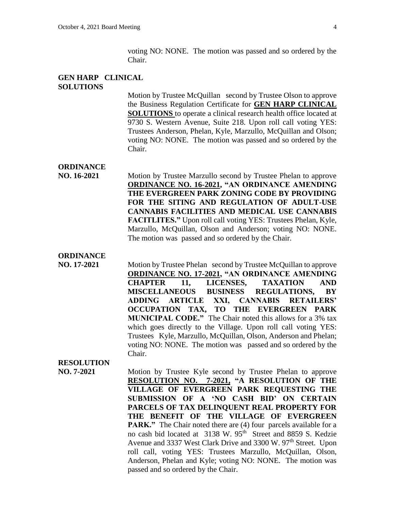voting NO: NONE. The motion was passed and so ordered by the Chair.

### **GEN HARP CLINICAL SOLUTIONS**

Motion by Trustee McQuillan second by Trustee Olson to approve the Business Regulation Certificate for **GEN HARP CLINICAL SOLUTIONS** to operate a clinical research health office located at 9730 S. Western Avenue, Suite 218. Upon roll call voting YES: Trustees Anderson, Phelan, Kyle, Marzullo, McQuillan and Olson; voting NO: NONE. The motion was passed and so ordered by the Chair.

#### **ORDINANCE**

**NO. 16-2021** Motion by Trustee Marzullo second by Trustee Phelan to approve **ORDINANCE NO. 16-2021, "AN ORDINANCE AMENDING THE EVERGREEN PARK ZONING CODE BY PROVIDING FOR THE SITING AND REGULATION OF ADULT-USE CANNABIS FACILITIES AND MEDICAL USE CANNABIS FACITLITES."** Upon roll call voting YES: Trustees Phelan, Kyle, Marzullo, McQuillan, Olson and Anderson; voting NO: NONE. The motion was passed and so ordered by the Chair.

# **ORDINANCE**

**NO. 17-2021** Motion by Trustee Phelan second by Trustee McQuillan to approve **ORDINANCE NO. 17-2021, "AN ORDINANCE AMENDING CHAPTER 11, LICENSES, TAXATION AND MISCELLANEOUS BUSINESS REGULATIONS, BY ADDING ARTICLE XXI, CANNABIS RETAILERS' OCCUPATION TAX, TO THE EVERGREEN PARK MUNICIPAL CODE."** The Chair noted this allows for a 3% tax which goes directly to the Village. Upon roll call voting YES: Trustees Kyle, Marzullo, McQuillan, Olson, Anderson and Phelan; voting NO: NONE. The motion was passed and so ordered by the Chair.

# **RESOLUTION**

**NO. 7-2021** Motion by Trustee Kyle second by Trustee Phelan to approve **RESOLUTION NO. 7-2021, "A RESOLUTION OF THE VILLAGE OF EVERGREEN PARK REQUESTING THE SUBMISSION OF A 'NO CASH BID' ON CERTAIN PARCELS OF TAX DELINQUENT REAL PROPERTY FOR THE BENEFIT OF THE VILLAGE OF EVERGREEN PARK."** The Chair noted there are (4) four parcels available for a no cash bid located at 3138 W. 95<sup>th</sup> Street and 8859 S. Kedzie Avenue and 3337 West Clark Drive and 3300 W. 97<sup>th</sup> Street. Upon roll call, voting YES: Trustees Marzullo, McQuillan, Olson, Anderson, Phelan and Kyle; voting NO: NONE. The motion was passed and so ordered by the Chair.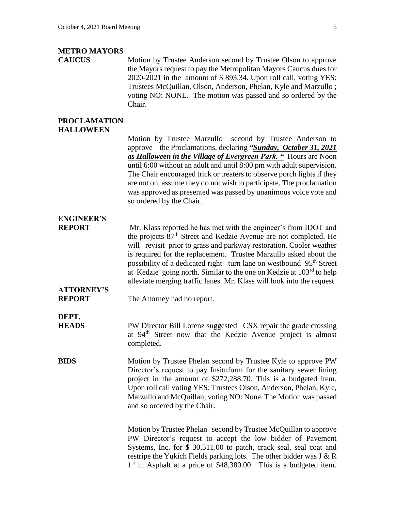### **METRO MAYORS**

**CAUCUS** Motion by Trustee Anderson second by Trustee Olson to approve the Mayors request to pay the Metropolitan Mayors Caucus dues for 2020-2021 in the amount of \$ 893.34. Upon roll call, voting YES: Trustees McQuillan, Olson, Anderson, Phelan, Kyle and Marzullo ; voting NO: NONE. The motion was passed and so ordered by the Chair.

#### **PROCLAMATION HALLOWEEN**

Motion by Trustee Marzullo second by Trustee Anderson to approve the Proclamations, declaring *"Sunday, October 31, 2021 as Halloween in the Village of Evergreen Park. "* Hours are Noon until 6:00 without an adult and until 8:00 pm with adult supervision. The Chair encouraged trick or treaters to observe porch lights if they are not on, assume they do not wish to participate. The proclamation was approved as presented was passed by unanimous voice vote and so ordered by the Chair.

# **ENGINEER'S**

**REPORT** Mr. Klass reported he has met with the engineer's from IDOT and the projects 87<sup>th</sup> Street and Kedzie Avenue are not completed. He will revisit prior to grass and parkway restoration. Cooler weather is required for the replacement. Trustee Marzullo asked about the possibility of a dedicated right turn lane on westbound 95<sup>th</sup> Street at Kedzie going north. Similar to the one on Kedzie at  $103<sup>rd</sup>$  to help alleviate merging traffic lanes. Mr. Klass will look into the request.

# **ATTORNEY'S**

**REPORT** The Attorney had no report.

**DEPT.**

**HEADS** PW Director Bill Lorenz suggested CSX repair the grade crossing at 94<sup>th</sup> Street now that the Kedzie Avenue project is almost completed.

**BIDS** Motion by Trustee Phelan second by Trustee Kyle to approve PW Director's request to pay Insituform for the sanitary sewer lining project in the amount of \$272,288.70. This is a budgeted item. Upon roll call voting YES: Trustees Olson, Anderson, Phelan, Kyle, Marzullo and McQuillan; voting NO: None. The Motion was passed and so ordered by the Chair.

> Motion by Trustee Phelan second by Trustee McQuillan to approve PW Director's request to accept the low bidder of Pavement Systems, Inc. for \$ 30,511.00 to patch, crack seal, seal coat and restripe the Yukich Fields parking lots. The other bidder was J & R 1<sup>st</sup> in Asphalt at a price of \$48,380.00. This is a budgeted item.